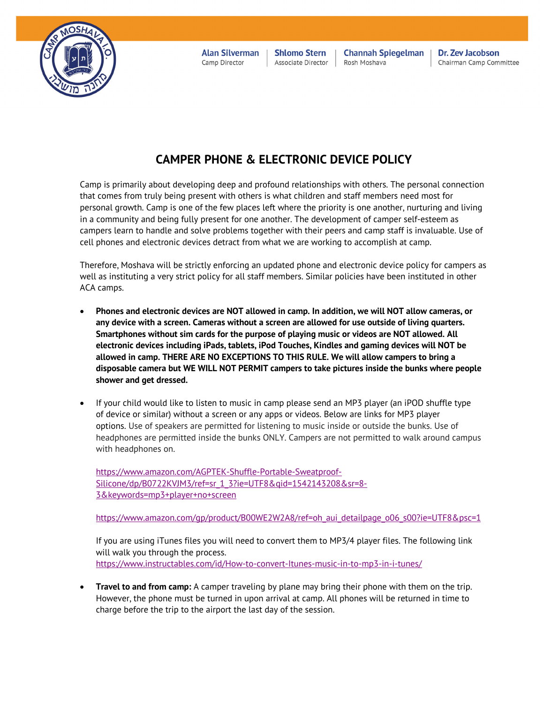

**Alan Silverman** Camp Director

**Shlomo Stern** Associate Director

**Channah Spiegelman** Rosh Moshava

Dr. Zev Jacobson Chairman Camp Committee

## **CAMPER PHONE & ELECTRONIC DEVICE POLICY**

Camp is primarily about developing deep and profound relationships with others. The personal connection that comes from truly being present with others is what children and staff members need most for personal growth. Camp is one of the few places left where the priority is one another, nurturing and living in a community and being fully present for one another. The development of camper self-esteem as campers learn to handle and solve problems together with their peers and camp staff is invaluable. Use of cell phones and electronic devices detract from what we are working to accomplish at camp.

Therefore, Moshava will be strictly enforcing an updated phone and electronic device policy for campers as well as instituting a very strict policy for all staff members. Similar policies have been instituted in other ACA camps.

- **Phones and electronic devices are NOT allowed in camp. In addition, we will NOT allow cameras, or any device with a screen. Cameras without a screen are allowed for use outside of living quarters. Smartphones without sim cards for the purpose of playing music or videos are NOT allowed. All electronic devices including iPads, tablets, iPod Touches, Kindles and gaming devices will NOT be allowed in camp. THERE ARE NO EXCEPTIONS TO THIS RULE. We will allow campers to bring a disposable camera but WE WILL NOT PERMIT campers to take pictures inside the bunks where people shower and get dressed.**
- If your child would like to listen to music in camp please send an MP3 player (an iPOD shuffle type of device or similar) without a screen or any apps or videos. Below are links for MP3 player options. Use of speakers are permitted for listening to music inside or outside the bunks. Use of headphones are permitted inside the bunks ONLY. Campers are not permitted to walk around campus with headphones on.

https://www.amazon.com/AGPTEK-Shuffle-Portable-Sweatproof-Silicone/dp/B0722KVJM3/ref=sr\_1\_3?ie=UTF8&qid=1542143208&sr=8- 3&keywords=mp3+player+no+screen

https://www.amazon.com/gp/product/B00WE2W2A8/ref=oh\_aui\_detailpage\_o06\_s00?ie=UTF8&psc=1

If you are using iTunes files you will need to convert them to MP3/4 player files. The following link will walk you through the process. https://www.instructables.com/id/How-to-convert-Itunes-music-in-to-mp3-in-i-tunes/

• **Travel to and from camp:** A camper traveling by plane may bring their phone with them on the trip. However, the phone must be turned in upon arrival at camp. All phones will be returned in time to charge before the trip to the airport the last day of the session.